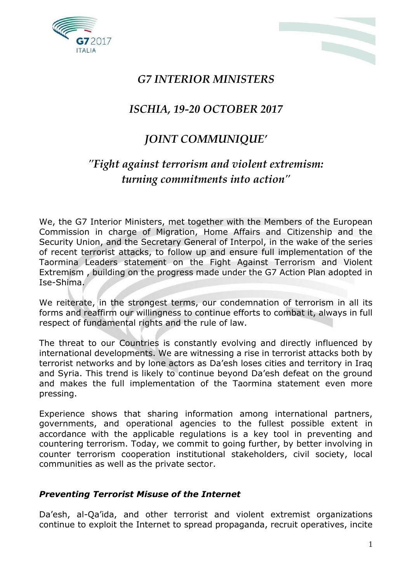



## *G7 INTERIOR MINISTERS*

## *ISCHIA, 19-20 OCTOBER 2017*

## *JOINT COMMUNIQUE'*

# *"Fight against terrorism and violent extremism: turning commitments into action"*

We, the G7 Interior Ministers, met together with the Members of the European Commission in charge of Migration, Home Affairs and Citizenship and the Security Union, and the Secretary General of Interpol, in the wake of the series of recent terrorist attacks, to follow up and ensure full implementation of the Taormina Leaders statement on the Fight Against Terrorism and Violent Extremism , building on the progress made under the G7 Action Plan adopted in Ise-Shima.

We reiterate, in the strongest terms, our condemnation of terrorism in all its forms and reaffirm our willingness to continue efforts to combat it, always in full respect of fundamental rights and the rule of law.

The threat to our Countries is constantly evolving and directly influenced by international developments. We are witnessing a rise in terrorist attacks both by terrorist networks and by lone actors as Da'esh loses cities and territory in Iraq and Syria. This trend is likely to continue beyond Da'esh defeat on the ground and makes the full implementation of the Taormina statement even more pressing.

Experience shows that sharing information among international partners, governments, and operational agencies to the fullest possible extent in accordance with the applicable regulations is a key tool in preventing and countering terrorism. Today, we commit to going further, by better involving in counter terrorism cooperation institutional stakeholders, civil society, local communities as well as the private sector.

### *Preventing Terrorist Misuse of the Internet*

Da'esh, al-Qa'ida, and other terrorist and violent extremist organizations continue to exploit the Internet to spread propaganda, recruit operatives, incite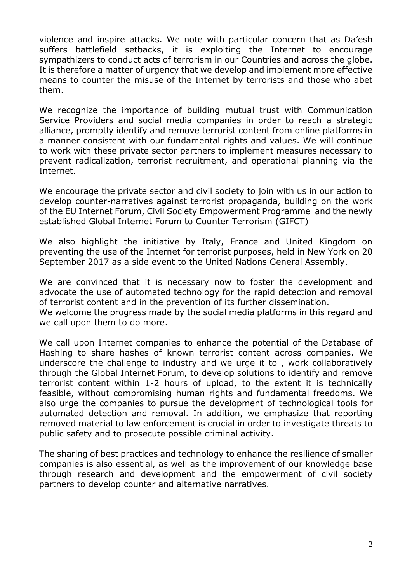violence and inspire attacks. We note with particular concern that as Da'esh suffers battlefield setbacks, it is exploiting the Internet to encourage sympathizers to conduct acts of terrorism in our Countries and across the globe. It is therefore a matter of urgency that we develop and implement more effective means to counter the misuse of the Internet by terrorists and those who abet them.

We recognize the importance of building mutual trust with Communication Service Providers and social media companies in order to reach a strategic alliance, promptly identify and remove terrorist content from online platforms in a manner consistent with our fundamental rights and values. We will continue to work with these private sector partners to implement measures necessary to prevent radicalization, terrorist recruitment, and operational planning via the Internet.

We encourage the private sector and civil society to join with us in our action to develop counter-narratives against terrorist propaganda, building on the work of the EU Internet Forum, Civil Society Empowerment Programme and the newly established Global Internet Forum to Counter Terrorism (GIFCT)

We also highlight the initiative by Italy, France and United Kingdom on preventing the use of the Internet for terrorist purposes, held in New York on 20 September 2017 as a side event to the United Nations General Assembly.

We are convinced that it is necessary now to foster the development and advocate the use of automated technology for the rapid detection and removal of terrorist content and in the prevention of its further dissemination.

We welcome the progress made by the social media platforms in this regard and we call upon them to do more.

We call upon Internet companies to enhance the potential of the Database of Hashing to share hashes of known terrorist content across companies. We underscore the challenge to industry and we urge it to , work collaboratively through the Global Internet Forum, to develop solutions to identify and remove terrorist content within 1-2 hours of upload, to the extent it is technically feasible, without compromising human rights and fundamental freedoms. We also urge the companies to pursue the development of technological tools for automated detection and removal. In addition, we emphasize that reporting removed material to law enforcement is crucial in order to investigate threats to public safety and to prosecute possible criminal activity.

The sharing of best practices and technology to enhance the resilience of smaller companies is also essential, as well as the improvement of our knowledge base through research and development and the empowerment of civil society partners to develop counter and alternative narratives.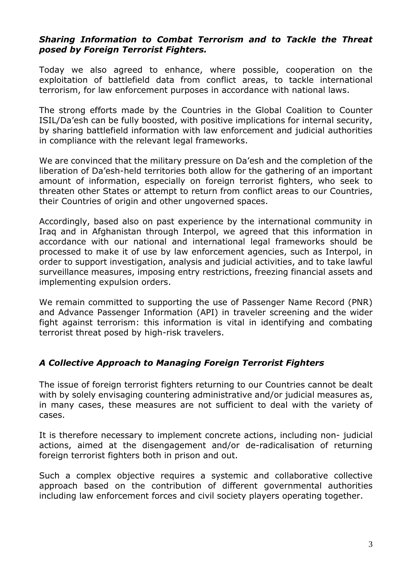#### *Sharing Information to Combat Terrorism and to Tackle the Threat posed by Foreign Terrorist Fighters.*

Today we also agreed to enhance, where possible, cooperation on the exploitation of battlefield data from conflict areas, to tackle international terrorism, for law enforcement purposes in accordance with national laws.

The strong efforts made by the Countries in the Global Coalition to Counter ISIL/Da'esh can be fully boosted, with positive implications for internal security, by sharing battlefield information with law enforcement and judicial authorities in compliance with the relevant legal frameworks.

We are convinced that the military pressure on Da'esh and the completion of the liberation of Da'esh-held territories both allow for the gathering of an important amount of information, especially on foreign terrorist fighters, who seek to threaten other States or attempt to return from conflict areas to our Countries, their Countries of origin and other ungoverned spaces.

Accordingly, based also on past experience by the international community in Iraq and in Afghanistan through Interpol, we agreed that this information in accordance with our national and international legal frameworks should be processed to make it of use by law enforcement agencies, such as Interpol, in order to support investigation, analysis and judicial activities, and to take lawful surveillance measures, imposing entry restrictions, freezing financial assets and implementing expulsion orders.

We remain committed to supporting the use of Passenger Name Record (PNR) and Advance Passenger Information (API) in traveler screening and the wider fight against terrorism: this information is vital in identifying and combating terrorist threat posed by high-risk travelers.

### *A Collective Approach to Managing Foreign Terrorist Fighters*

The issue of foreign terrorist fighters returning to our Countries cannot be dealt with by solely envisaging countering administrative and/or judicial measures as, in many cases, these measures are not sufficient to deal with the variety of cases.

It is therefore necessary to implement concrete actions, including non- judicial actions, aimed at the disengagement and/or de-radicalisation of returning foreign terrorist fighters both in prison and out.

Such a complex objective requires a systemic and collaborative collective approach based on the contribution of different governmental authorities including law enforcement forces and civil society players operating together.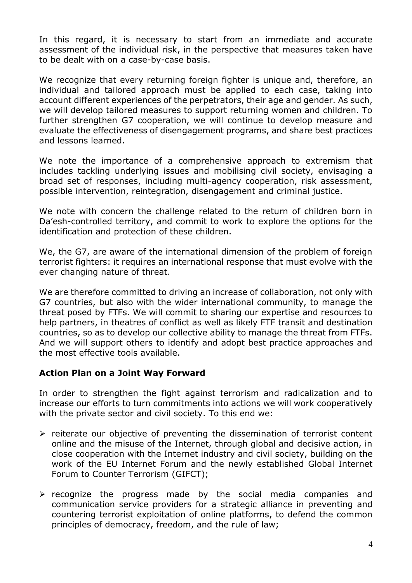In this regard, it is necessary to start from an immediate and accurate assessment of the individual risk, in the perspective that measures taken have to be dealt with on a case-by-case basis.

We recognize that every returning foreign fighter is unique and, therefore, an individual and tailored approach must be applied to each case, taking into account different experiences of the perpetrators, their age and gender. As such, we will develop tailored measures to support returning women and children. To further strengthen G7 cooperation, we will continue to develop measure and evaluate the effectiveness of disengagement programs, and share best practices and lessons learned.

We note the importance of a comprehensive approach to extremism that includes tackling underlying issues and mobilising civil society, envisaging a broad set of responses, including multi-agency cooperation, risk assessment, possible intervention, reintegration, disengagement and criminal justice.

We note with concern the challenge related to the return of children born in Da'esh-controlled territory, and commit to work to explore the options for the identification and protection of these children.

We, the G7, are aware of the international dimension of the problem of foreign terrorist fighters: it requires an international response that must evolve with the ever changing nature of threat.

We are therefore committed to driving an increase of collaboration, not only with G7 countries, but also with the wider international community, to manage the threat posed by FTFs. We will commit to sharing our expertise and resources to help partners, in theatres of conflict as well as likely FTF transit and destination countries, so as to develop our collective ability to manage the threat from FTFs. And we will support others to identify and adopt best practice approaches and the most effective tools available.

#### **Action Plan on a Joint Way Forward**

In order to strengthen the fight against terrorism and radicalization and to increase our efforts to turn commitments into actions we will work cooperatively with the private sector and civil society. To this end we:

- $\triangleright$  reiterate our objective of preventing the dissemination of terrorist content online and the misuse of the Internet, through global and decisive action, in close cooperation with the Internet industry and civil society, building on the work of the EU Internet Forum and the newly established Global Internet Forum to Counter Terrorism (GIFCT);
- $\triangleright$  recognize the progress made by the social media companies and communication service providers for a strategic alliance in preventing and countering terrorist exploitation of online platforms, to defend the common principles of democracy, freedom, and the rule of law;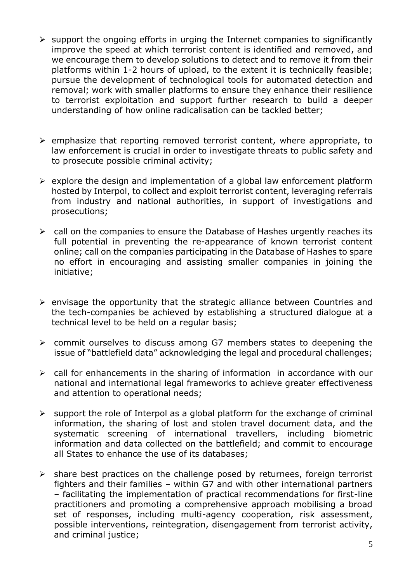- $\triangleright$  support the ongoing efforts in urging the Internet companies to significantly improve the speed at which terrorist content is identified and removed, and we encourage them to develop solutions to detect and to remove it from their platforms within 1-2 hours of upload, to the extent it is technically feasible; pursue the development of technological tools for automated detection and removal; work with smaller platforms to ensure they enhance their resilience to terrorist exploitation and support further research to build a deeper understanding of how online radicalisation can be tackled better;
- $\triangleright$  emphasize that reporting removed terrorist content, where appropriate, to law enforcement is crucial in order to investigate threats to public safety and to prosecute possible criminal activity;
- $\triangleright$  explore the design and implementation of a global law enforcement platform hosted by Interpol, to collect and exploit terrorist content, leveraging referrals from industry and national authorities, in support of investigations and prosecutions;
- $\triangleright$  call on the companies to ensure the Database of Hashes urgently reaches its full potential in preventing the re-appearance of known terrorist content online; call on the companies participating in the Database of Hashes to spare no effort in encouraging and assisting smaller companies in joining the initiative;
- $\triangleright$  envisage the opportunity that the strategic alliance between Countries and the tech-companies be achieved by establishing a structured dialogue at a technical level to be held on a regular basis;
- commit ourselves to discuss among G7 members states to deepening the issue of "battlefield data" acknowledging the legal and procedural challenges;
- $\triangleright$  call for enhancements in the sharing of information in accordance with our national and international legal frameworks to achieve greater effectiveness and attention to operational needs;
- $\triangleright$  support the role of Interpol as a global platform for the exchange of criminal information, the sharing of lost and stolen travel document data, and the systematic screening of international travellers, including biometric information and data collected on the battlefield; and commit to encourage all States to enhance the use of its databases;
- $\triangleright$  share best practices on the challenge posed by returnees, foreign terrorist fighters and their families – within G7 and with other international partners – facilitating the implementation of practical recommendations for first-line practitioners and promoting a comprehensive approach mobilising a broad set of responses, including multi-agency cooperation, risk assessment, possible interventions, reintegration, disengagement from terrorist activity, and criminal justice;